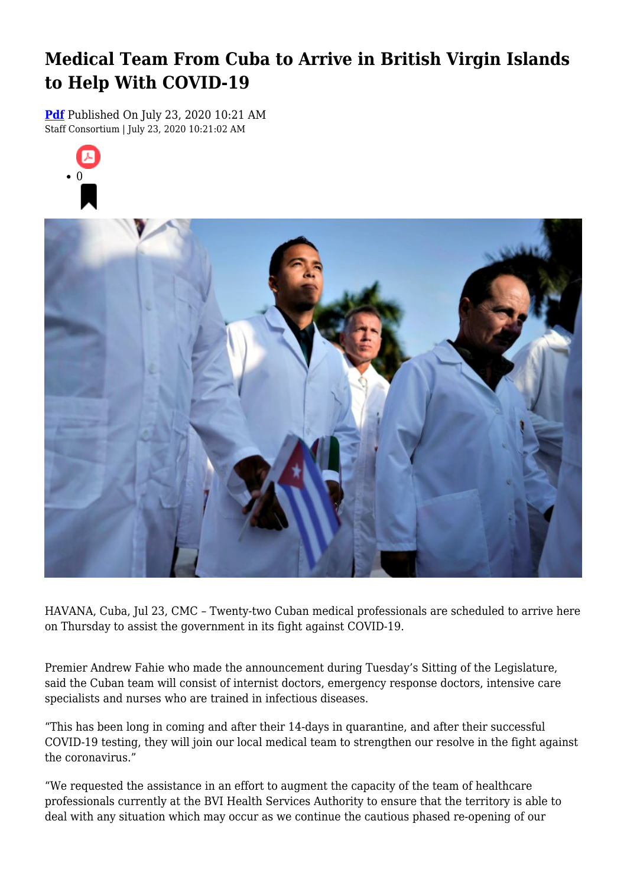## **Medical Team From Cuba to Arrive in British Virgin Islands to Help With COVID-19**

**[Pdf](https://viconsortium.com/caribbean-pdf)** Published On July 23, 2020 10:21 AM Staff Consortium | July 23, 2020 10:21:02 AM





HAVANA, Cuba, Jul 23, CMC – Twenty-two Cuban medical professionals are scheduled to arrive here on Thursday to assist the government in its fight against COVID-19.

Premier Andrew Fahie who made the announcement during Tuesday's Sitting of the Legislature, said the Cuban team will consist of internist doctors, emergency response doctors, intensive care specialists and nurses who are trained in infectious diseases.

"This has been long in coming and after their 14-days in quarantine, and after their successful COVID-19 testing, they will join our local medical team to strengthen our resolve in the fight against the coronavirus."

"We requested the assistance in an effort to augment the capacity of the team of healthcare professionals currently at the BVI Health Services Authority to ensure that the territory is able to deal with any situation which may occur as we continue the cautious phased re-opening of our